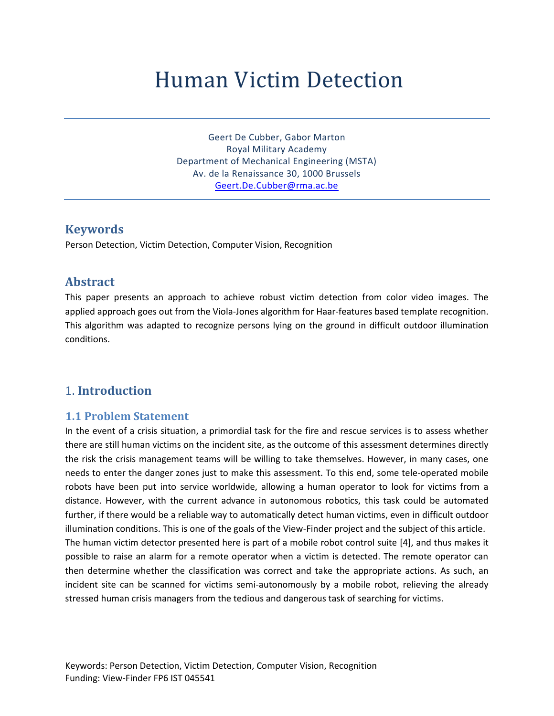# Human Victim Detection

Geert De Cubber, Gabor Marton Royal Military Academy Department of Mechanical Engineering (MSTA) Av. de la Renaissance 30, 1000 Brussels [Geert.De.Cubber@rma.ac.be](mailto:Geert.De.Cubber@rma.ac.be)

## **Keywords**

Person Detection, Victim Detection, Computer Vision, Recognition

# **Abstract**

This paper presents an approach to achieve robust victim detection from color video images. The applied approach goes out from the Viola-Jones algorithm for Haar-features based template recognition. This algorithm was adapted to recognize persons lying on the ground in difficult outdoor illumination conditions.

# 1. **Introduction**

### **1.1 Problem Statement**

In the event of a crisis situation, a primordial task for the fire and rescue services is to assess whether there are still human victims on the incident site, as the outcome of this assessment determines directly the risk the crisis management teams will be willing to take themselves. However, in many cases, one needs to enter the danger zones just to make this assessment. To this end, some tele-operated mobile robots have been put into service worldwide, allowing a human operator to look for victims from a distance. However, with the current advance in autonomous robotics, this task could be automated further, if there would be a reliable way to automatically detect human victims, even in difficult outdoor illumination conditions. This is one of the goals of the View-Finder project and the subject of this article. The human victim detector presented here is part of a mobile robot control suite [\[4\],](#page-8-0) and thus makes it possible to raise an alarm for a remote operator when a victim is detected. The remote operator can then determine whether the classification was correct and take the appropriate actions. As such, an incident site can be scanned for victims semi-autonomously by a mobile robot, relieving the already stressed human crisis managers from the tedious and dangerous task of searching for victims.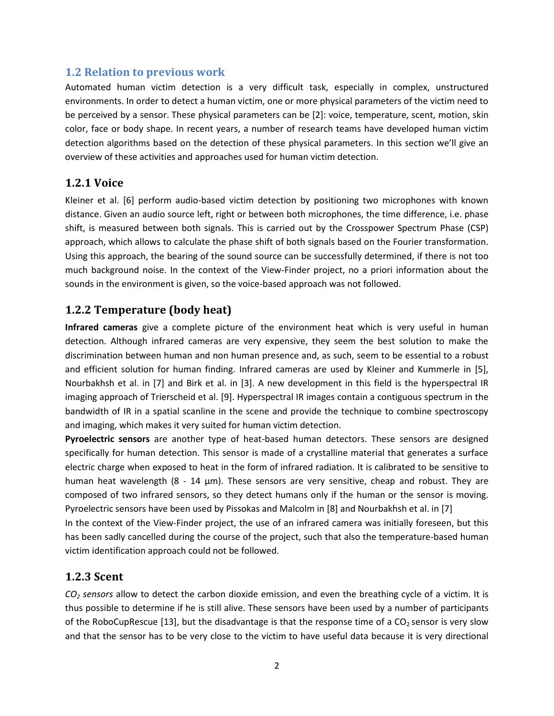## **1.2 Relation to previous work**

Automated human victim detection is a very difficult task, especially in complex, unstructured environments. In order to detect a human victim, one or more physical parameters of the victim need to be perceived by a sensor. These physical parameters can be [\[2\]:](#page-8-1) voice, temperature, scent, motion, skin color, face or body shape. In recent years, a number of research teams have developed human victim detection algorithms based on the detection of these physical parameters. In this section we'll give an overview of these activities and approaches used for human victim detection.

## **1.2.1 Voice**

Kleiner et al. [\[6\]](#page-8-2) perform audio-based victim detection by positioning two microphones with known distance. Given an audio source left, right or between both microphones, the time difference, i.e. phase shift, is measured between both signals. This is carried out by the Crosspower Spectrum Phase (CSP) approach, which allows to calculate the phase shift of both signals based on the Fourier transformation. Using this approach, the bearing of the sound source can be successfully determined, if there is not too much background noise. In the context of the View-Finder project, no a priori information about the sounds in the environment is given, so the voice-based approach was not followed.

## **1.2.2 Temperature (body heat)**

**Infrared cameras** give a complete picture of the environment heat which is very useful in human detection. Although infrared cameras are very expensive, they seem the best solution to make the discrimination between human and non human presence and, as such, seem to be essential to a robust and efficient solution for human finding. Infrared cameras are used by Kleiner and Kummerle in [\[5\],](#page-8-3) Nourbakhsh et al. in [\[7\]](#page-8-4) and Birk et al. in [\[3\].](#page-8-5) A new development in this field is the hyperspectral IR imaging approach of Trierscheid et al. [\[9\].](#page-8-6) Hyperspectral IR images contain a contiguous spectrum in the bandwidth of IR in a spatial scanline in the scene and provide the technique to combine spectroscopy and imaging, which makes it very suited for human victim detection.

**Pyroelectric sensors** are another type of heat-based human detectors. These sensors are designed specifically for human detection. This sensor is made of a crystalline material that generates a surface electric charge when exposed to heat in the form of infrared radiation. It is calibrated to be sensitive to human heat wavelength (8 - 14 μm). These sensors are very sensitive, cheap and robust. They are composed of two infrared sensors, so they detect humans only if the human or the sensor is moving. Pyroelectric sensors have been used by Pissokas and Malcolm in [\[8\]](#page-8-7) and Nourbakhsh et al. i[n \[7\]](#page-8-4)

In the context of the View-Finder project, the use of an infrared camera was initially foreseen, but this has been sadly cancelled during the course of the project, such that also the temperature-based human victim identification approach could not be followed.

## **1.2.3 Scent**

*CO<sup>2</sup> sensors* allow to detect the carbon dioxide emission, and even the breathing cycle of a victim. It is thus possible to determine if he is still alive. These sensors have been used by a number of participants of the RoboCupRescue [\[13\],](#page-8-8) but the disadvantage is that the response time of a  $CO<sub>2</sub>$  sensor is very slow and that the sensor has to be very close to the victim to have useful data because it is very directional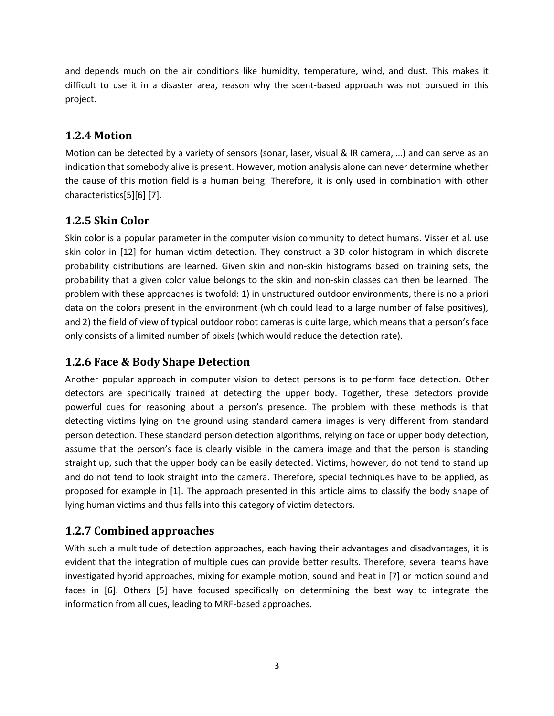and depends much on the air conditions like humidity, temperature, wind, and dust. This makes it difficult to use it in a disaster area, reason why the scent-based approach was not pursued in this project.

# **1.2.4 Motion**

Motion can be detected by a variety of sensors (sonar, laser, visual & IR camera, …) and can serve as an indication that somebody alive is present. However, motion analysis alone can never determine whether the cause of this motion field is a human being. Therefore, it is only used in combination with other characteristic[s\[5\]\[6\]](#page-8-3) [\[7\].](#page-8-4)

# **1.2.5 Skin Color**

Skin color is a popular parameter in the computer vision community to detect humans. Visser et al. use skin color in [\[12\]](#page-8-9) for human victim detection. They construct a 3D color histogram in which discrete probability distributions are learned. Given skin and non-skin histograms based on training sets, the probability that a given color value belongs to the skin and non-skin classes can then be learned. The problem with these approaches is twofold: 1) in unstructured outdoor environments, there is no a priori data on the colors present in the environment (which could lead to a large number of false positives), and 2) the field of view of typical outdoor robot cameras is quite large, which means that a person's face only consists of a limited number of pixels (which would reduce the detection rate).

# **1.2.6 Face & Body Shape Detection**

Another popular approach in computer vision to detect persons is to perform face detection. Other detectors are specifically trained at detecting the upper body. Together, these detectors provide powerful cues for reasoning about a person's presence. The problem with these methods is that detecting victims lying on the ground using standard camera images is very different from standard person detection. These standard person detection algorithms, relying on face or upper body detection, assume that the person's face is clearly visible in the camera image and that the person is standing straight up, such that the upper body can be easily detected. Victims, however, do not tend to stand up and do not tend to look straight into the camera. Therefore, special techniques have to be applied, as proposed for example in [\[1\].](#page-8-10) The approach presented in this article aims to classify the body shape of lying human victims and thus falls into this category of victim detectors.

# **1.2.7 Combined approaches**

With such a multitude of detection approaches, each having their advantages and disadvantages, it is evident that the integration of multiple cues can provide better results. Therefore, several teams have investigated hybrid approaches, mixing for example motion, sound and heat in [\[7\]](#page-8-4) or motion sound and faces in [\[6\].](#page-8-2) Others [\[5\]](#page-8-3) have focused specifically on determining the best way to integrate the information from all cues, leading to MRF-based approaches.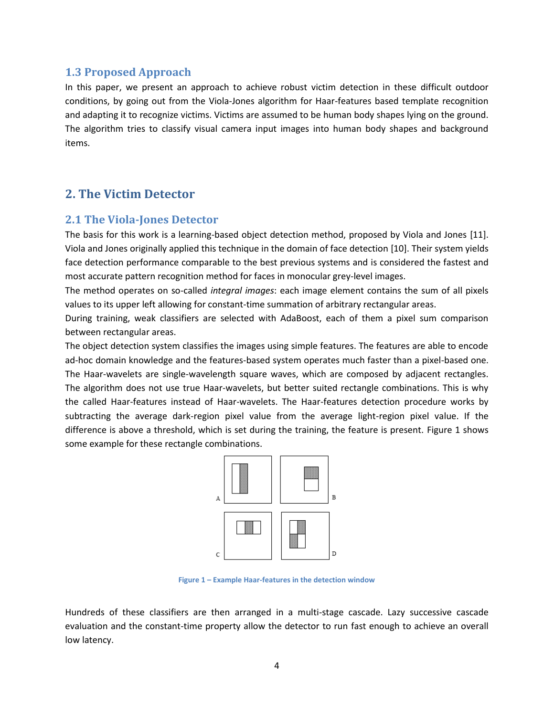## **1.3 Proposed Approach**

In this paper, we present an approach to achieve robust victim detection in these difficult outdoor conditions, by going out from the Viola-Jones algorithm for Haar-features based template recognition and adapting it to recognize victims. Victims are assumed to be human body shapes lying on the ground. The algorithm tries to classify visual camera input images into human body shapes and background items.

# **2. The Victim Detector**

## **2.1 The Viola-Jones Detector**

The basis for this work is a learning-based object detection method, proposed by Viola and Jones [\[11\].](#page-8-11) Viola and Jones originally applied this technique in the domain of face detection [\[10\].](#page-8-12) Their system yields face detection performance comparable to the best previous systems and is considered the fastest and most accurate pattern recognition method for faces in monocular grey-level images.

The method operates on so-called *integral images*: each image element contains the sum of all pixels values to its upper left allowing for constant-time summation of arbitrary rectangular areas.

During training, weak classifiers are selected with AdaBoost, each of them a pixel sum comparison between rectangular areas.

The object detection system classifies the images using simple features. The features are able to encode ad-hoc domain knowledge and the features-based system operates much faster than a pixel-based one. The Haar-wavelets are single-wavelength square waves, which are composed by adjacent rectangles. The algorithm does not use true Haar-wavelets, but better suited rectangle combinations. This is why the called Haar-features instead of Haar-wavelets. The Haar-features detection procedure works by subtracting the average dark-region pixel value from the average light-region pixel value. If the difference is above a threshold, which is set during the training, the feature is present. [Figure 1](#page-3-0) shows some example for these rectangle combinations.



**Figure 1 – Example Haar-features in the detection window**

<span id="page-3-0"></span>Hundreds of these classifiers are then arranged in a multi-stage cascade. Lazy successive cascade evaluation and the constant-time property allow the detector to run fast enough to achieve an overall low latency.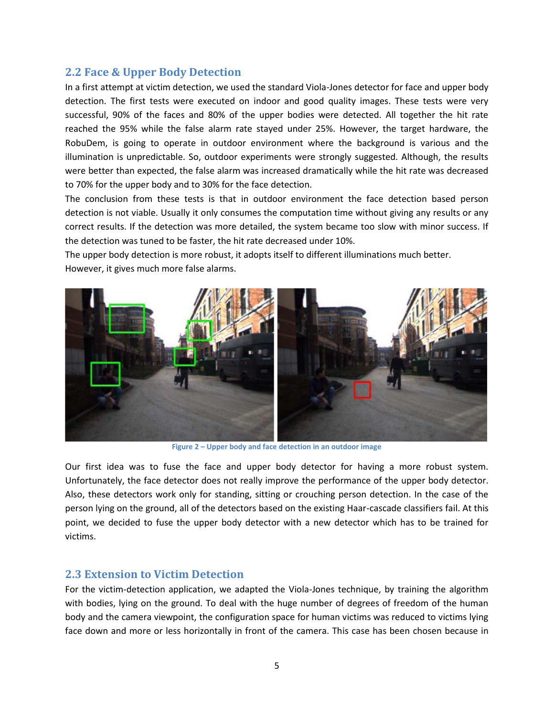## **2.2 Face & Upper Body Detection**

In a first attempt at victim detection, we used the standard Viola-Jones detector for face and upper body detection. The first tests were executed on indoor and good quality images. These tests were very successful, 90% of the faces and 80% of the upper bodies were detected. All together the hit rate reached the 95% while the false alarm rate stayed under 25%. However, the target hardware, the RobuDem, is going to operate in outdoor environment where the background is various and the illumination is unpredictable. So, outdoor experiments were strongly suggested. Although, the results were better than expected, the false alarm was increased dramatically while the hit rate was decreased to 70% for the upper body and to 30% for the face detection.

The conclusion from these tests is that in outdoor environment the face detection based person detection is not viable. Usually it only consumes the computation time without giving any results or any correct results. If the detection was more detailed, the system became too slow with minor success. If the detection was tuned to be faster, the hit rate decreased under 10%.

The upper body detection is more robust, it adopts itself to different illuminations much better. However, it gives much more false alarms.



**Figure 2 – Upper body and face detection in an outdoor image**

Our first idea was to fuse the face and upper body detector for having a more robust system. Unfortunately, the face detector does not really improve the performance of the upper body detector. Also, these detectors work only for standing, sitting or crouching person detection. In the case of the person lying on the ground, all of the detectors based on the existing Haar-cascade classifiers fail. At this point, we decided to fuse the upper body detector with a new detector which has to be trained for victims.

### **2.3 Extension to Victim Detection**

For the victim-detection application, we adapted the Viola-Jones technique, by training the algorithm with bodies, lying on the ground. To deal with the huge number of degrees of freedom of the human body and the camera viewpoint, the configuration space for human victims was reduced to victims lying face down and more or less horizontally in front of the camera. This case has been chosen because in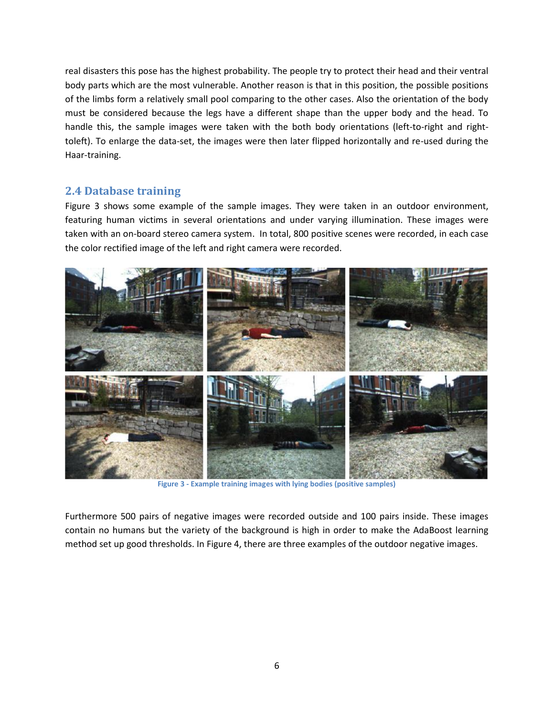real disasters this pose has the highest probability. The people try to protect their head and their ventral body parts which are the most vulnerable. Another reason is that in this position, the possible positions of the limbs form a relatively small pool comparing to the other cases. Also the orientation of the body must be considered because the legs have a different shape than the upper body and the head. To handle this, the sample images were taken with the both body orientations (left-to-right and righttoleft). To enlarge the data-set, the images were then later flipped horizontally and re-used during the Haar-training.

## **2.4 Database training**

Figure 3 shows some example of the sample images. They were taken in an outdoor environment, featuring human victims in several orientations and under varying illumination. These images were taken with an on-board stereo camera system. In total, 800 positive scenes were recorded, in each case the color rectified image of the left and right camera were recorded.



**Figure 3 - Example training images with lying bodies (positive samples)**

Furthermore 500 pairs of negative images were recorded outside and 100 pairs inside. These images contain no humans but the variety of the background is high in order to make the AdaBoost learning method set up good thresholds. In Figure 4, there are three examples of the outdoor negative images.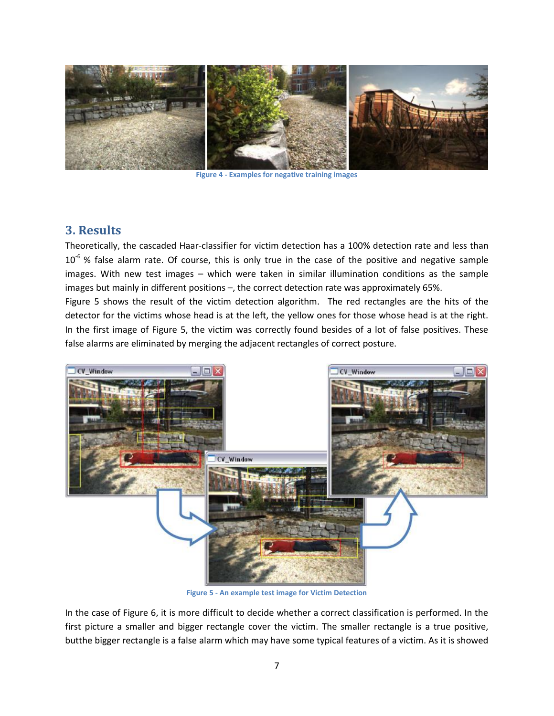

**Figure 4 - Examples for negative training images**

## **3. Results**

Theoretically, the cascaded Haar-classifier for victim detection has a 100% detection rate and less than  $10^{-6}$  % false alarm rate. Of course, this is only true in the case of the positive and negative sample images. With new test images – which were taken in similar illumination conditions as the sample images but mainly in different positions –, the correct detection rate was approximately 65%.

Figure 5 shows the result of the victim detection algorithm. The red rectangles are the hits of the detector for the victims whose head is at the left, the yellow ones for those whose head is at the right. In the first image of Figure 5, the victim was correctly found besides of a lot of false positives. These false alarms are eliminated by merging the adjacent rectangles of correct posture.



**Figure 5 - An example test image for Victim Detection**

In the case of Figure 6, it is more difficult to decide whether a correct classification is performed. In the first picture a smaller and bigger rectangle cover the victim. The smaller rectangle is a true positive, butthe bigger rectangle is a false alarm which may have some typical features of a victim. As it is showed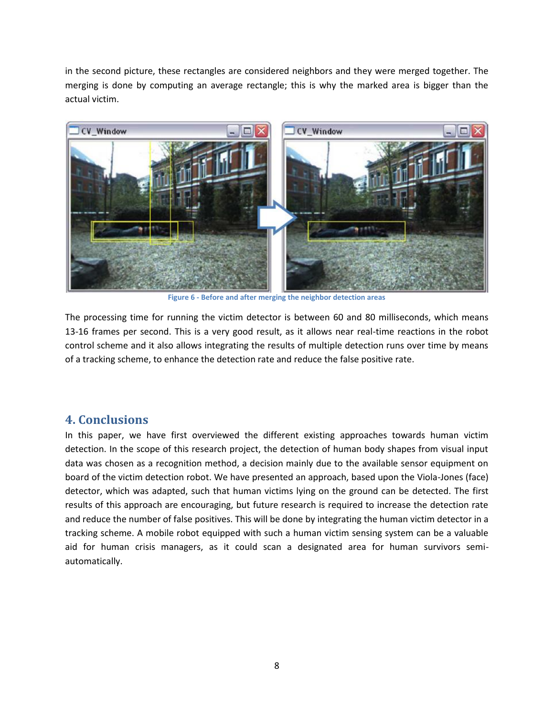in the second picture, these rectangles are considered neighbors and they were merged together. The merging is done by computing an average rectangle; this is why the marked area is bigger than the actual victim.



**Figure 6 - Before and after merging the neighbor detection areas**

The processing time for running the victim detector is between 60 and 80 milliseconds, which means 13‐16 frames per second. This is a very good result, as it allows near real-time reactions in the robot control scheme and it also allows integrating the results of multiple detection runs over time by means of a tracking scheme, to enhance the detection rate and reduce the false positive rate.

# **4. Conclusions**

In this paper, we have first overviewed the different existing approaches towards human victim detection. In the scope of this research project, the detection of human body shapes from visual input data was chosen as a recognition method, a decision mainly due to the available sensor equipment on board of the victim detection robot. We have presented an approach, based upon the Viola-Jones (face) detector, which was adapted, such that human victims lying on the ground can be detected. The first results of this approach are encouraging, but future research is required to increase the detection rate and reduce the number of false positives. This will be done by integrating the human victim detector in a tracking scheme. A mobile robot equipped with such a human victim sensing system can be a valuable aid for human crisis managers, as it could scan a designated area for human survivors semiautomatically.